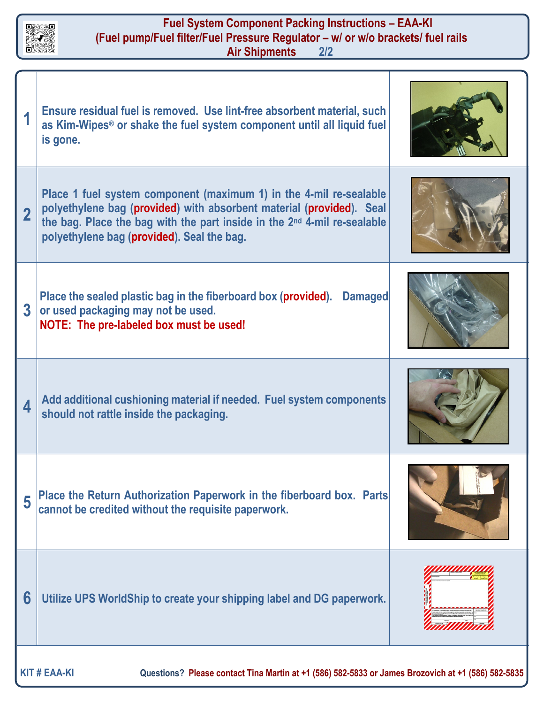

## **Fuel System Component Packing Instructions – EAA-KI (Fuel pump/Fuel filter/Fuel Pressure Regulator – w/ or w/o brackets/ fuel rails Air Shipments**

|                | Ensure residual fuel is removed. Use lint-free absorbent material, such<br>as Kim-Wipes <sup>®</sup> or shake the fuel system component until all liquid fuel<br>is gone.                                                                                                        |  |
|----------------|----------------------------------------------------------------------------------------------------------------------------------------------------------------------------------------------------------------------------------------------------------------------------------|--|
| $\overline{2}$ | Place 1 fuel system component (maximum 1) in the 4-mil re-sealable<br>polyethylene bag (provided) with absorbent material (provided). Seal<br>the bag. Place the bag with the part inside in the 2 <sup>nd</sup> 4-mil re-sealable<br>polyethylene bag (provided). Seal the bag. |  |
| $\overline{3}$ | Place the sealed plastic bag in the fiberboard box (provided). Damaged<br>or used packaging may not be used.<br>NOTE: The pre-labeled box must be used!                                                                                                                          |  |
| 4              | Add additional cushioning material if needed. Fuel system components<br>should not rattle inside the packaging.                                                                                                                                                                  |  |
| 5              | Place the Return Authorization Paperwork in the fiberboard box. Parts<br>cannot be credited without the requisite paperwork.                                                                                                                                                     |  |
| 6              | Utilize UPS WorldShip to create your shipping label and DG paperwork.                                                                                                                                                                                                            |  |
|                |                                                                                                                                                                                                                                                                                  |  |

**KIT # EAA-KI Questions? Please contact Tina Martin at +1 (586) 582-5833 or James Brozovich at +1 (586) 582-5835**